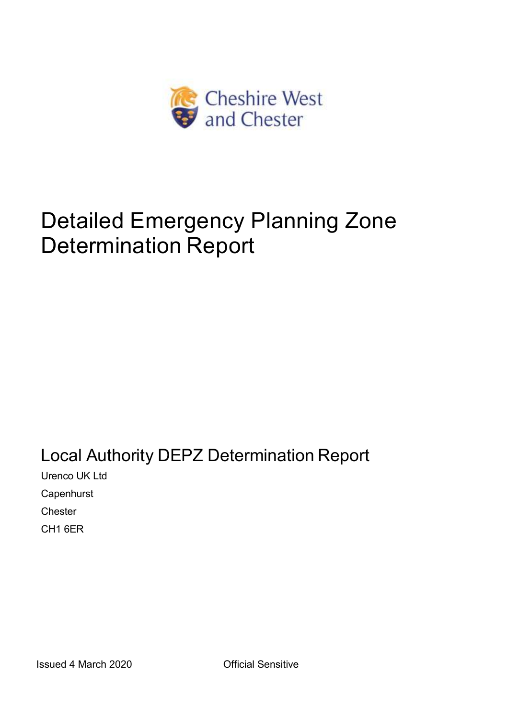

# Detailed Emergency Planning Zone Determination Report

Local Authority DEPZ Determination Report Urenco UK Ltd **Capenhurst Chester** CH1 6ER

Issued 4 March 2020 Official Sensitive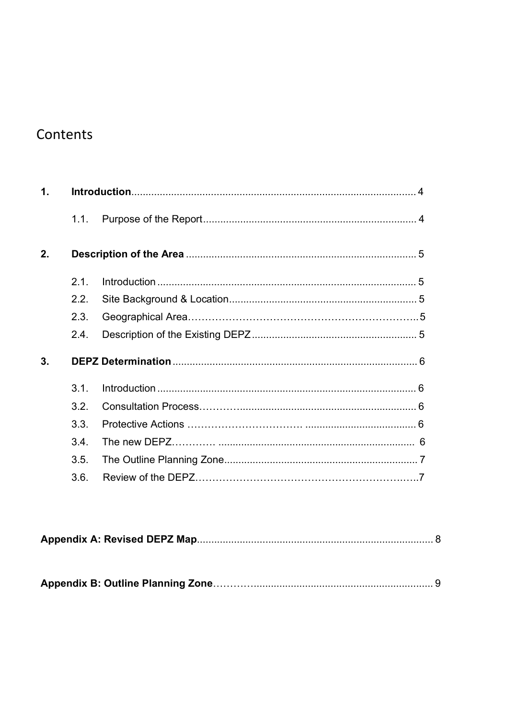# Contents

| $\mathbf 1$ . |      |  |  |
|---------------|------|--|--|
|               | 1.1. |  |  |
| 2.            |      |  |  |
|               | 21   |  |  |
|               | 2.2. |  |  |
|               | 2.3. |  |  |
|               | 2.4. |  |  |
| 3.            |      |  |  |
|               | 3.1. |  |  |
|               | 3.2. |  |  |
|               | 3.3. |  |  |
|               | 3.4  |  |  |
|               | 3.5. |  |  |
|               | 3.6. |  |  |

|--|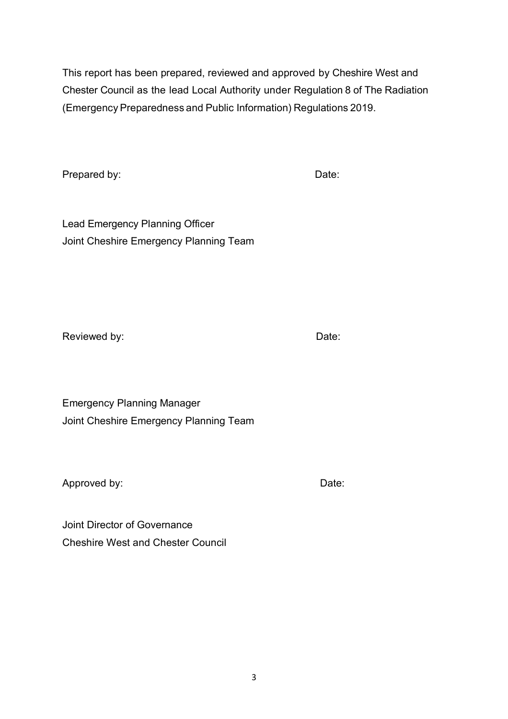This report has been prepared, reviewed and approved by Cheshire West and Chester Council as the lead Local Authority under Regulation 8 of The Radiation (EmergencyPreparedness and Public Information) Regulations 2019.

Prepared by: Date:

Lead Emergency Planning Officer Joint Cheshire Emergency Planning Team

Reviewed by:  $\qquad \qquad$  Date:

Emergency Planning Manager Joint Cheshire Emergency Planning Team

Approved by: Notice 2012 1 and 2012 1 and 2012 1 and 2012 1 and 2012 1 and 2012 1 and 2012 1 and 201

Joint Director of Governance Cheshire West and Chester Council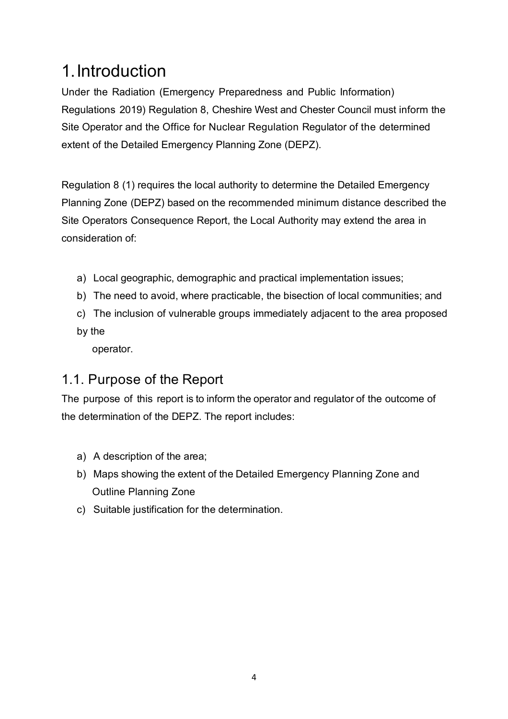# 1.Introduction

Under the Radiation (Emergency Preparedness and Public Information) Regulations 2019) Regulation 8, Cheshire West and Chester Council must inform the Site Operator and the Office for Nuclear Regulation Regulator of the determined extent of the Detailed Emergency Planning Zone (DEPZ).

Regulation 8 (1) requires the local authority to determine the Detailed Emergency Planning Zone (DEPZ) based on the recommended minimum distance described the Site Operators Consequence Report, the Local Authority may extend the area in consideration of:

- a) Local geographic, demographic and practical implementation issues;
- b) The need to avoid, where practicable, the bisection of local communities; and
- c) The inclusion of vulnerable groups immediately adjacent to the area proposed by the

operator.

### 1.1. Purpose of the Report

The purpose of this report is to inform the operator and regulator of the outcome of the determination of the DEPZ. The report includes:

- a) A description of the area;
- b) Maps showing the extent of the Detailed Emergency Planning Zone and Outline Planning Zone
- c) Suitable justification for the determination.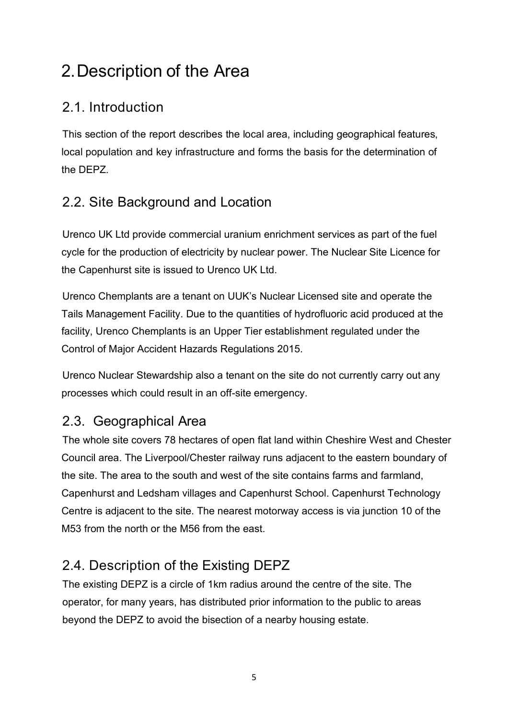# 2.Description of the Area

## 2.1. Introduction

This section of the report describes the local area, including geographical features, local population and key infrastructure and forms the basis for the determination of the DEPZ.

# 2.2. Site Background and Location

Urenco UK Ltd provide commercial uranium enrichment services as part of the fuel cycle for the production of electricity by nuclear power. The Nuclear Site Licence for the Capenhurst site is issued to Urenco UK Ltd.

Urenco Chemplants are a tenant on UUK's Nuclear Licensed site and operate the Tails Management Facility. Due to the quantities of hydrofluoric acid produced at the facility, Urenco Chemplants is an Upper Tier establishment regulated under the Control of Major Accident Hazards Regulations 2015.

Urenco Nuclear Stewardship also a tenant on the site do not currently carry out any processes which could result in an off-site emergency.

### 2.3. Geographical Area

The whole site covers 78 hectares of open flat land within Cheshire West and Chester Council area. The Liverpool/Chester railway runs adjacent to the eastern boundary of the site. The area to the south and west of the site contains farms and farmland, Capenhurst and Ledsham villages and Capenhurst School. Capenhurst Technology Centre is adjacent to the site. The nearest motorway access is via junction 10 of the M53 from the north or the M56 from the east.

# 2.4. Description of the Existing DEPZ

The existing DEPZ is a circle of 1km radius around the centre of the site. The operator, for many years, has distributed prior information to the public to areas beyond the DEPZ to avoid the bisection of a nearby housing estate.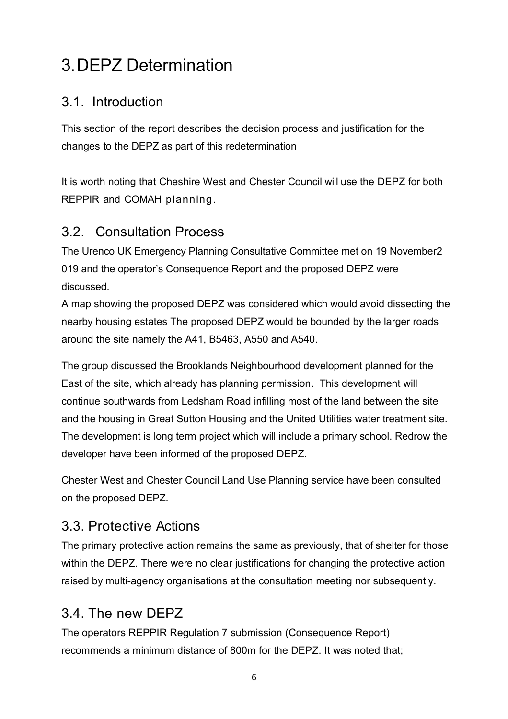# 3.DEPZ Determination

#### 3.1. Introduction

This section of the report describes the decision process and justification for the changes to the DEPZ as part of this redetermination

It is worth noting that Cheshire West and Chester Council will use the DEPZ for both REPPIR and COMAH planning.

### 3.2. Consultation Process

The Urenco UK Emergency Planning Consultative Committee met on 19 November2 019 and the operator's Consequence Report and the proposed DEPZ were discussed.

A map showing the proposed DEPZ was considered which would avoid dissecting the nearby housing estates The proposed DEPZ would be bounded by the larger roads around the site namely the A41, B5463, A550 and A540.

The group discussed the Brooklands Neighbourhood development planned for the East of the site, which already has planning permission. This development will continue southwards from Ledsham Road infilling most of the land between the site and the housing in Great Sutton Housing and the United Utilities water treatment site. The development is long term project which will include a primary school. Redrow the developer have been informed of the proposed DEPZ.

Chester West and Chester Council Land Use Planning service have been consulted on the proposed DEPZ.

### 3.3. Protective Actions

The primary protective action remains the same as previously, that of shelter for those within the DEPZ. There were no clear justifications for changing the protective action raised by multi-agency organisations at the consultation meeting nor subsequently.

### 3.4. The new DEPZ

The operators REPPIR Regulation 7 submission (Consequence Report) recommends a minimum distance of 800m for the DEPZ. It was noted that;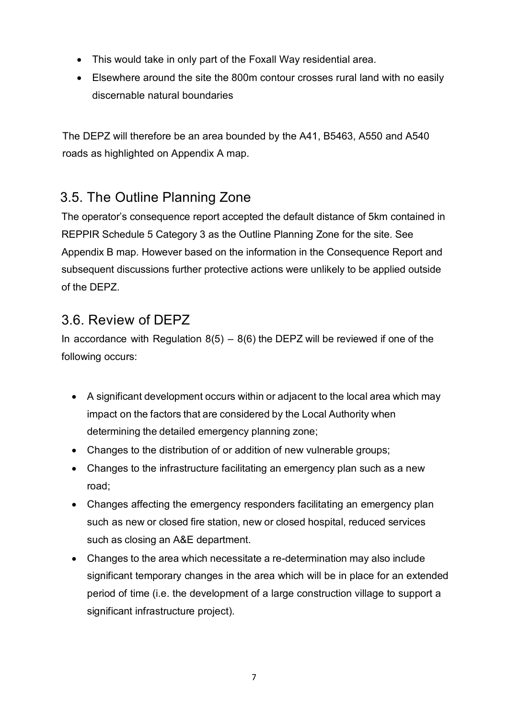- This would take in only part of the Foxall Way residential area.
- Elsewhere around the site the 800m contour crosses rural land with no easily discernable natural boundaries

The DEPZ will therefore be an area bounded by the A41, B5463, A550 and A540 roads as highlighted on Appendix A map.

## 3.5. The Outline Planning Zone

The operator's consequence report accepted the default distance of 5km contained in REPPIR Schedule 5 Category 3 as the Outline Planning Zone for the site. See Appendix B map. However based on the information in the Consequence Report and subsequent discussions further protective actions were unlikely to be applied outside of the DEPZ.

### 3.6. Review of DEPZ

In accordance with Regulation  $8(5) - 8(6)$  the DEPZ will be reviewed if one of the following occurs:

- A significant development occurs within or adjacent to the local area which may impact on the factors that are considered by the Local Authority when determining the detailed emergency planning zone;
- Changes to the distribution of or addition of new vulnerable groups;
- Changes to the infrastructure facilitating an emergency plan such as a new road;
- Changes affecting the emergency responders facilitating an emergency plan such as new or closed fire station, new or closed hospital, reduced services such as closing an A&E department.
- Changes to the area which necessitate a re-determination may also include significant temporary changes in the area which will be in place for an extended period of time (i.e. the development of a large construction village to support a significant infrastructure project).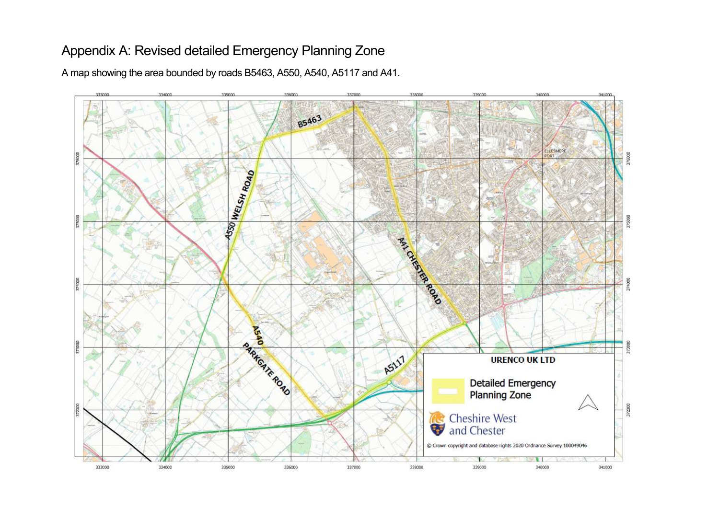### Appendix A: Revised detailed Emergency Planning Zone

A map showing the area bounded by roads B5463, A550, A540, A5117 and A41.